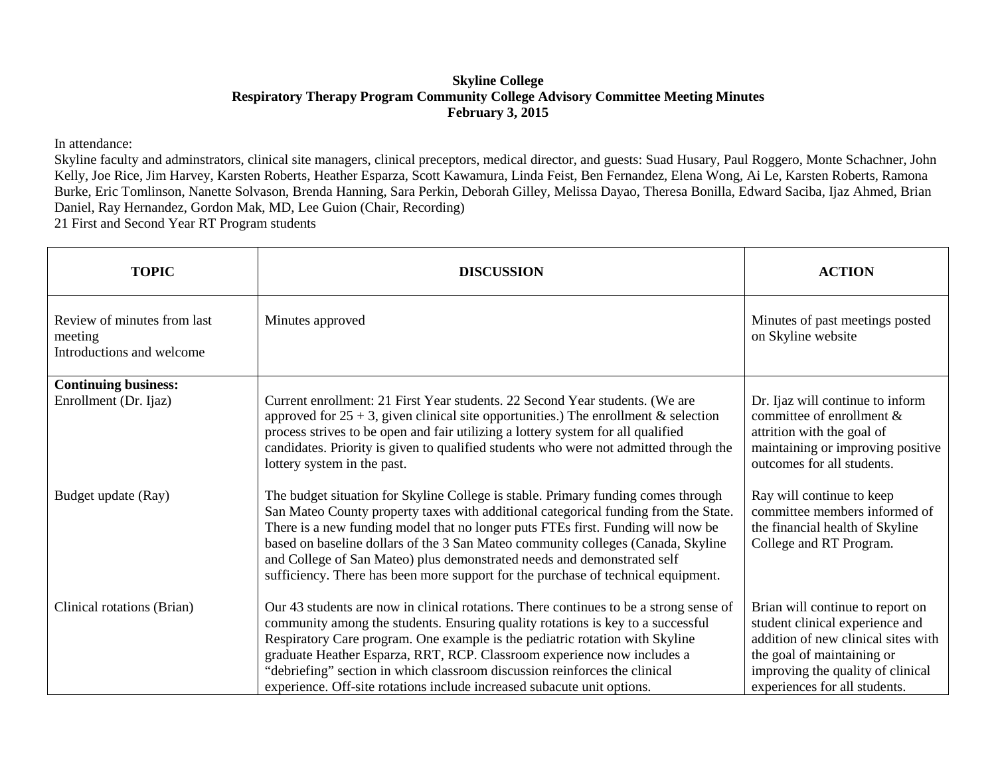## **Skyline College Respiratory Therapy Program Community College Advisory Committee Meeting Minutes February 3, 2015**

In attendance:

Skyline faculty and adminstrators, clinical site managers, clinical preceptors, medical director, and guests: Suad Husary, Paul Roggero, Monte Schachner, John Kelly, Joe Rice, Jim Harvey, Karsten Roberts, Heather Esparza, Scott Kawamura, Linda Feist, Ben Fernandez, Elena Wong, Ai Le, Karsten Roberts, Ramona Burke, Eric Tomlinson, Nanette Solvason, Brenda Hanning, Sara Perkin, Deborah Gilley, Melissa Dayao, Theresa Bonilla, Edward Saciba, Ijaz Ahmed, Brian Daniel, Ray Hernandez, Gordon Mak, MD, Lee Guion (Chair, Recording)

21 First and Second Year RT Program students

| <b>TOPIC</b>                                                        | <b>DISCUSSION</b>                                                                                                                                                                                                                                                                                                                                                                                                                                                                                                | <b>ACTION</b>                                                                                                                                                                                                  |
|---------------------------------------------------------------------|------------------------------------------------------------------------------------------------------------------------------------------------------------------------------------------------------------------------------------------------------------------------------------------------------------------------------------------------------------------------------------------------------------------------------------------------------------------------------------------------------------------|----------------------------------------------------------------------------------------------------------------------------------------------------------------------------------------------------------------|
| Review of minutes from last<br>meeting<br>Introductions and welcome | Minutes approved                                                                                                                                                                                                                                                                                                                                                                                                                                                                                                 | Minutes of past meetings posted<br>on Skyline website                                                                                                                                                          |
| <b>Continuing business:</b><br>Enrollment (Dr. Ijaz)                | Current enrollment: 21 First Year students. 22 Second Year students. (We are<br>approved for $25 + 3$ , given clinical site opportunities.) The enrollment & selection<br>process strives to be open and fair utilizing a lottery system for all qualified<br>candidates. Priority is given to qualified students who were not admitted through the<br>lottery system in the past.                                                                                                                               | Dr. Ijaz will continue to inform<br>committee of enrollment &<br>attrition with the goal of<br>maintaining or improving positive<br>outcomes for all students.                                                 |
| Budget update (Ray)                                                 | The budget situation for Skyline College is stable. Primary funding comes through<br>San Mateo County property taxes with additional categorical funding from the State.<br>There is a new funding model that no longer puts FTEs first. Funding will now be<br>based on baseline dollars of the 3 San Mateo community colleges (Canada, Skyline<br>and College of San Mateo) plus demonstrated needs and demonstrated self<br>sufficiency. There has been more support for the purchase of technical equipment. | Ray will continue to keep<br>committee members informed of<br>the financial health of Skyline<br>College and RT Program.                                                                                       |
| Clinical rotations (Brian)                                          | Our 43 students are now in clinical rotations. There continues to be a strong sense of<br>community among the students. Ensuring quality rotations is key to a successful<br>Respiratory Care program. One example is the pediatric rotation with Skyline<br>graduate Heather Esparza, RRT, RCP. Classroom experience now includes a<br>"debriefing" section in which classroom discussion reinforces the clinical<br>experience. Off-site rotations include increased subacute unit options.                    | Brian will continue to report on<br>student clinical experience and<br>addition of new clinical sites with<br>the goal of maintaining or<br>improving the quality of clinical<br>experiences for all students. |